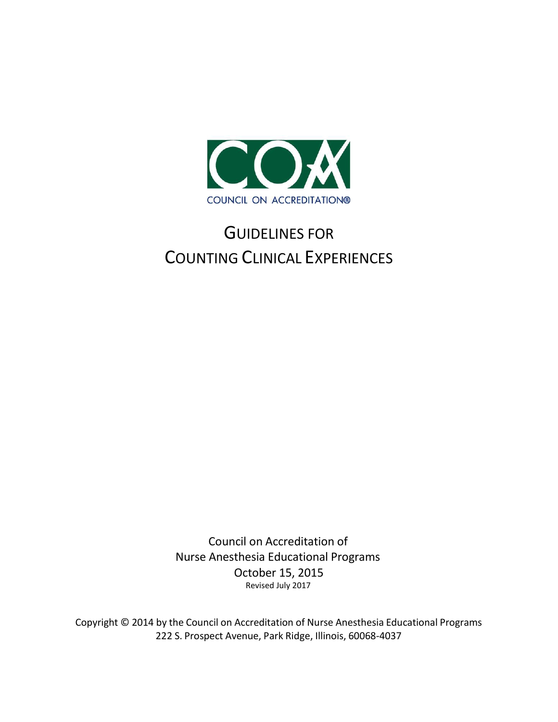

## GUIDELINES FOR COUNTING CLINICAL EXPERIENCES

Council on Accreditation of Nurse Anesthesia Educational Programs October 15, 2015 Revised July 2017

Copyright © 2014 by the Council on Accreditation of Nurse Anesthesia Educational Programs 222 S. Prospect Avenue, Park Ridge, Illinois, 60068-4037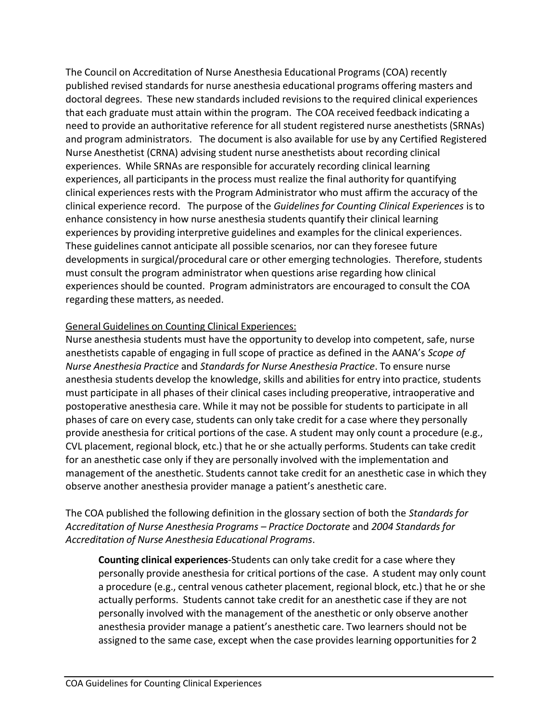The Council on Accreditation of Nurse Anesthesia Educational Programs (COA) recently published revised standards for nurse anesthesia educational programs offering masters and doctoral degrees. These new standards included revisions to the required clinical experiences that each graduate must attain within the program. The COA received feedback indicating a need to provide an authoritative reference for all student registered nurse anesthetists (SRNAs) and program administrators. The document is also available for use by any Certified Registered Nurse Anesthetist (CRNA) advising student nurse anesthetists about recording clinical experiences. While SRNAs are responsible for accurately recording clinical learning experiences, all participants in the process must realize the final authority for quantifying clinical experiences rests with the Program Administrator who must affirm the accuracy of the clinical experience record. The purpose of the *Guidelines for Counting Clinical Experiences* is to enhance consistency in how nurse anesthesia students quantify their clinical learning experiences by providing interpretive guidelines and examples for the clinical experiences. These guidelines cannot anticipate all possible scenarios, nor can they foresee future developments in surgical/procedural care or other emerging technologies. Therefore, students must consult the program administrator when questions arise regarding how clinical experiences should be counted. Program administrators are encouraged to consult the COA regarding these matters, as needed.

## General Guidelines on Counting Clinical Experiences:

Nurse anesthesia students must have the opportunity to develop into competent, safe, nurse anesthetists capable of engaging in full scope of practice as defined in the AANA's *Scope of Nurse Anesthesia Practice* and *Standards for Nurse Anesthesia Practice*. To ensure nurse anesthesia students develop the knowledge, skills and abilities for entry into practice, students must participate in all phases of their clinical cases including preoperative, intraoperative and postoperative anesthesia care. While it may not be possible for students to participate in all phases of care on every case, students can only take credit for a case where they personally provide anesthesia for critical portions of the case. A student may only count a procedure (e.g., CVL placement, regional block, etc.) that he or she actually performs. Students can take credit for an anesthetic case only if they are personally involved with the implementation and management of the anesthetic. Students cannot take credit for an anesthetic case in which they observe another anesthesia provider manage a patient's anesthetic care.

## The COA published the following definition in the glossary section of both the *Standards for Accreditation of Nurse Anesthesia Programs – Practice Doctorate* and *2004 Standards for Accreditation of Nurse Anesthesia Educational Programs*.

**Counting clinical experiences**-Students can only take credit for a case where they personally provide anesthesia for critical portions of the case. A student may only count a procedure (e.g., central venous catheter placement, regional block, etc.) that he or she actually performs. Students cannot take credit for an anesthetic case if they are not personally involved with the management of the anesthetic or only observe another anesthesia provider manage a patient's anesthetic care. Two learners should not be assigned to the same case, except when the case provides learning opportunities for 2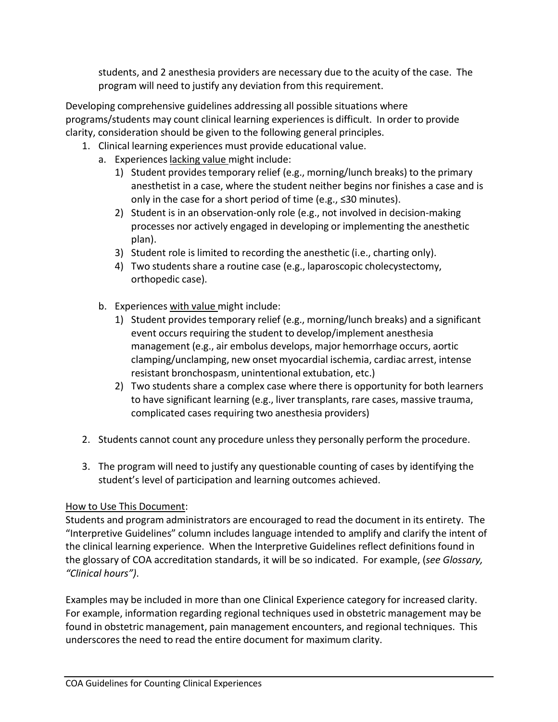students, and 2 anesthesia providers are necessary due to the acuity of the case. The program will need to justify any deviation from this requirement.

Developing comprehensive guidelines addressing all possible situations where programs/students may count clinical learning experiences is difficult. In order to provide clarity, consideration should be given to the following general principles.

- 1. Clinical learning experiences must provide educational value.
	- a. Experiences lacking value might include:
		- 1) Student providestemporary relief (e.g., morning/lunch breaks) to the primary anesthetist in a case, where the student neither begins nor finishes a case and is only in the case for a short period of time (e.g., ≤30 minutes).
		- 2) Student is in an observation-only role (e.g., not involved in decision-making processes nor actively engaged in developing or implementing the anesthetic plan).
		- 3) Student role is limited to recording the anesthetic (i.e., charting only).
		- 4) Two students share a routine case (e.g., laparoscopic cholecystectomy, orthopedic case).
	- b. Experiences with value might include:
		- 1) Student providestemporary relief (e.g., morning/lunch breaks) and a significant event occurs requiring the student to develop/implement anesthesia management (e.g., air embolus develops, major hemorrhage occurs, aortic clamping/unclamping, new onset myocardial ischemia, cardiac arrest, intense resistant bronchospasm, unintentional extubation, etc.)
		- 2) Two students share a complex case where there is opportunity for both learners to have significant learning (e.g., liver transplants, rare cases, massive trauma, complicated cases requiring two anesthesia providers)
- 2. Students cannot count any procedure unlessthey personally perform the procedure.
- 3. The program will need to justify any questionable counting of cases by identifying the student's level of participation and learning outcomes achieved.

## How to Use This Document:

Students and program administrators are encouraged to read the document in its entirety. The "Interpretive Guidelines" column includes language intended to amplify and clarify the intent of the clinical learning experience. When the Interpretive Guidelines reflect definitions found in the glossary of COA accreditation standards, it will be so indicated. For example, (*see Glossary, "Clinical hours")*.

Examples may be included in more than one Clinical Experience category for increased clarity. For example, information regarding regional techniques used in obstetric management may be found in obstetric management, pain management encounters, and regional techniques. This underscores the need to read the entire document for maximum clarity.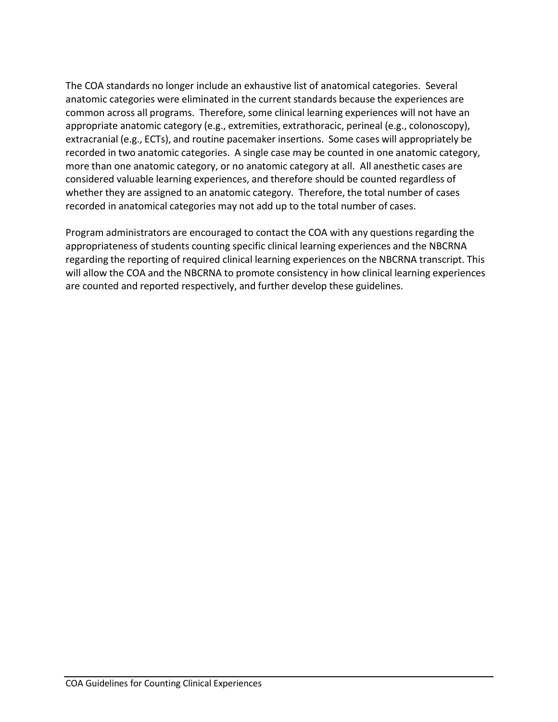The COA standards no longer include an exhaustive list of anatomical categories. Several anatomic categories were eliminated in the current standards because the experiences are common across all programs. Therefore, some clinical learning experiences will not have an appropriate anatomic category (e.g., extremities, extrathoracic, perineal (e.g., colonoscopy), extracranial (e.g., ECTs), and routine pacemaker insertions. Some cases will appropriately be recorded in two anatomic categories. A single case may be counted in one anatomic category, more than one anatomic category, or no anatomic category at all. All anesthetic cases are considered valuable learning experiences, and therefore should be counted regardless of whether they are assigned to an anatomic category. Therefore, the total number of cases recorded in anatomical categories may not add up to the total number of cases.

Program administrators are encouraged to contact the COA with any questions regarding the appropriateness of students counting specific clinical learning experiences and the NBCRNA regarding the reporting of required clinical learning experiences on the NBCRNA transcript. This will allow the COA and the NBCRNA to promote consistency in how clinical learning experiences are counted and reported respectively, and further develop these guidelines.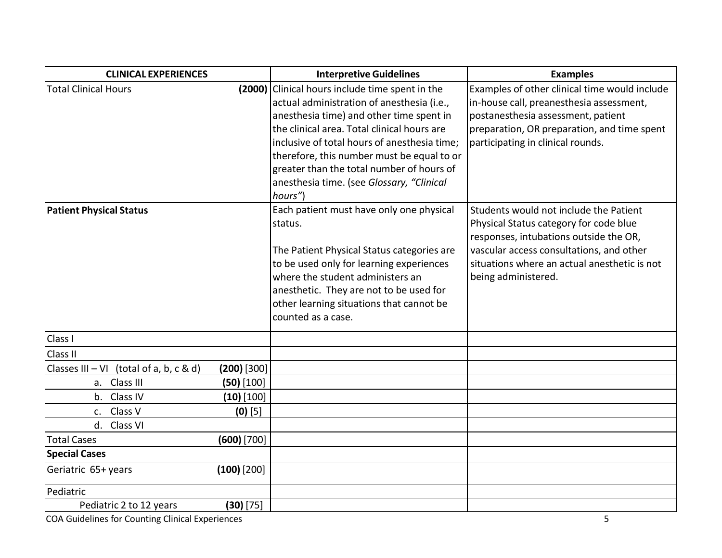| <b>CLINICAL EXPERIENCES</b>               |               | <b>Interpretive Guidelines</b>                                                                                                                                                                                                                                                                                                                                                       | <b>Examples</b>                                                                                                                                                                                                                               |
|-------------------------------------------|---------------|--------------------------------------------------------------------------------------------------------------------------------------------------------------------------------------------------------------------------------------------------------------------------------------------------------------------------------------------------------------------------------------|-----------------------------------------------------------------------------------------------------------------------------------------------------------------------------------------------------------------------------------------------|
| <b>Total Clinical Hours</b>               | (2000)        | Clinical hours include time spent in the<br>actual administration of anesthesia (i.e.,<br>anesthesia time) and other time spent in<br>the clinical area. Total clinical hours are<br>inclusive of total hours of anesthesia time;<br>therefore, this number must be equal to or<br>greater than the total number of hours of<br>anesthesia time. (see Glossary, "Clinical<br>hours") | Examples of other clinical time would include<br>in-house call, preanesthesia assessment,<br>postanesthesia assessment, patient<br>preparation, OR preparation, and time spent<br>participating in clinical rounds.                           |
| <b>Patient Physical Status</b>            |               | Each patient must have only one physical<br>status.<br>The Patient Physical Status categories are<br>to be used only for learning experiences<br>where the student administers an<br>anesthetic. They are not to be used for<br>other learning situations that cannot be<br>counted as a case.                                                                                       | Students would not include the Patient<br>Physical Status category for code blue<br>responses, intubations outside the OR,<br>vascular access consultations, and other<br>situations where an actual anesthetic is not<br>being administered. |
| Class I                                   |               |                                                                                                                                                                                                                                                                                                                                                                                      |                                                                                                                                                                                                                                               |
| Class II                                  |               |                                                                                                                                                                                                                                                                                                                                                                                      |                                                                                                                                                                                                                                               |
| Classes $III - VI$ (total of a, b, c & d) | $(200)$ [300] |                                                                                                                                                                                                                                                                                                                                                                                      |                                                                                                                                                                                                                                               |
| a. Class III                              | $(50)$ [100]  |                                                                                                                                                                                                                                                                                                                                                                                      |                                                                                                                                                                                                                                               |
| b. Class IV                               | $(10)$ [100]  |                                                                                                                                                                                                                                                                                                                                                                                      |                                                                                                                                                                                                                                               |
| Class V<br>C <sub>1</sub>                 | $(0)$ [5]     |                                                                                                                                                                                                                                                                                                                                                                                      |                                                                                                                                                                                                                                               |
| d. Class VI                               |               |                                                                                                                                                                                                                                                                                                                                                                                      |                                                                                                                                                                                                                                               |
| <b>Total Cases</b>                        | $(600)$ [700] |                                                                                                                                                                                                                                                                                                                                                                                      |                                                                                                                                                                                                                                               |
| <b>Special Cases</b>                      |               |                                                                                                                                                                                                                                                                                                                                                                                      |                                                                                                                                                                                                                                               |
| Geriatric 65+ years                       | $(100)$ [200] |                                                                                                                                                                                                                                                                                                                                                                                      |                                                                                                                                                                                                                                               |
| Pediatric                                 |               |                                                                                                                                                                                                                                                                                                                                                                                      |                                                                                                                                                                                                                                               |
| Pediatric 2 to 12 years                   | $(30)$ [75]   |                                                                                                                                                                                                                                                                                                                                                                                      |                                                                                                                                                                                                                                               |

**COA Guidelines for Counting Clinical Experiences** 5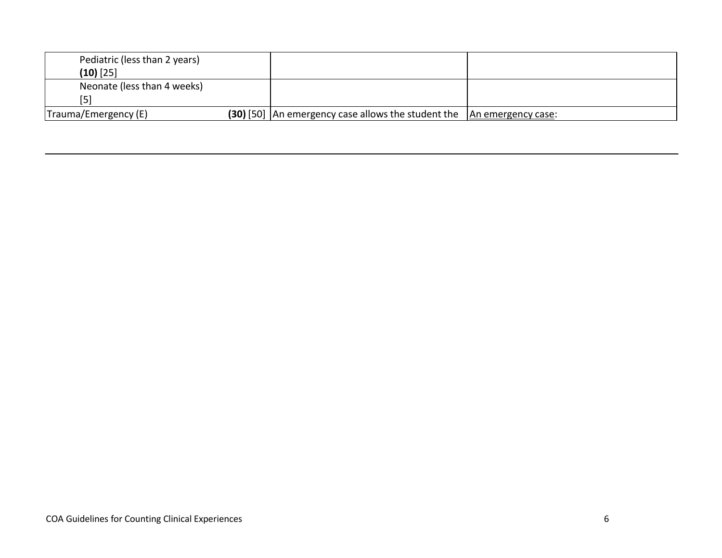| Pediatric (less than 2 years) |                                                    |                    |
|-------------------------------|----------------------------------------------------|--------------------|
| $(10)$ [25]                   |                                                    |                    |
| Neonate (less than 4 weeks)   |                                                    |                    |
| 5 <sub>1</sub>                |                                                    |                    |
| Trauma/Emergency (E)          | (30) [50] An emergency case allows the student the | An emergency case: |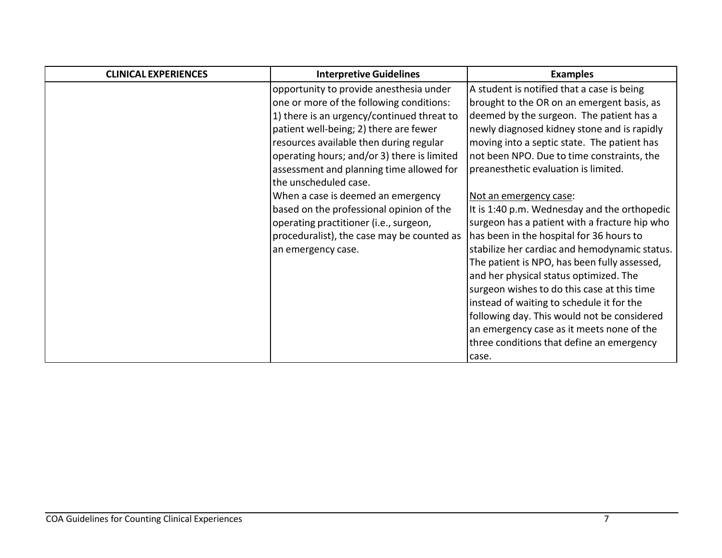| <b>CLINICAL EXPERIENCES</b> | <b>Interpretive Guidelines</b>              | <b>Examples</b>                               |
|-----------------------------|---------------------------------------------|-----------------------------------------------|
|                             | opportunity to provide anesthesia under     | A student is notified that a case is being    |
|                             | one or more of the following conditions:    | brought to the OR on an emergent basis, as    |
|                             | 1) there is an urgency/continued threat to  | deemed by the surgeon. The patient has a      |
|                             | patient well-being; 2) there are fewer      | newly diagnosed kidney stone and is rapidly   |
|                             | resources available then during regular     | moving into a septic state. The patient has   |
|                             | operating hours; and/or 3) there is limited | not been NPO. Due to time constraints, the    |
|                             | assessment and planning time allowed for    | preanesthetic evaluation is limited.          |
|                             | the unscheduled case.                       |                                               |
|                             | When a case is deemed an emergency          | Not an emergency case:                        |
|                             | based on the professional opinion of the    | It is 1:40 p.m. Wednesday and the orthopedic  |
|                             | operating practitioner (i.e., surgeon,      | surgeon has a patient with a fracture hip who |
|                             | proceduralist), the case may be counted as  | has been in the hospital for 36 hours to      |
|                             | an emergency case.                          | stabilize her cardiac and hemodynamic status. |
|                             |                                             | The patient is NPO, has been fully assessed,  |
|                             |                                             | and her physical status optimized. The        |
|                             |                                             | surgeon wishes to do this case at this time   |
|                             |                                             | instead of waiting to schedule it for the     |
|                             |                                             | following day. This would not be considered   |
|                             |                                             | an emergency case as it meets none of the     |
|                             |                                             | three conditions that define an emergency     |
|                             |                                             | case.                                         |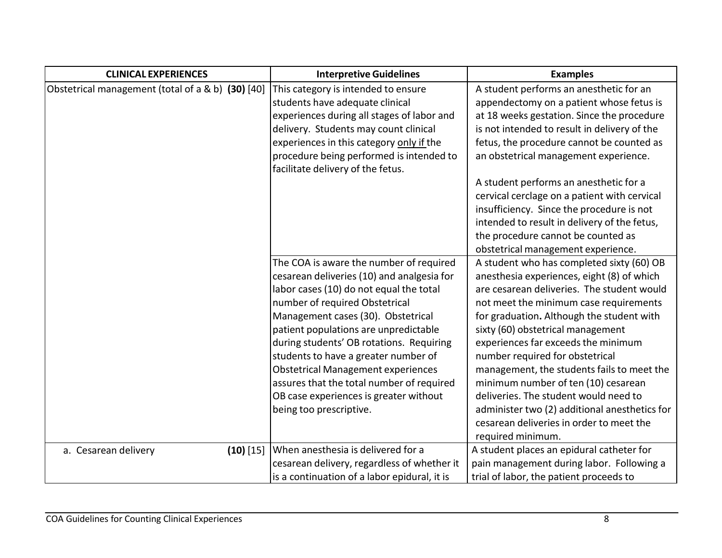| <b>CLINICAL EXPERIENCES</b>                       | <b>Interpretive Guidelines</b>               | <b>Examples</b>                               |
|---------------------------------------------------|----------------------------------------------|-----------------------------------------------|
| Obstetrical management (total of a & b) (30) [40] | This category is intended to ensure          | A student performs an anesthetic for an       |
|                                                   | students have adequate clinical              | appendectomy on a patient whose fetus is      |
|                                                   | experiences during all stages of labor and   | at 18 weeks gestation. Since the procedure    |
|                                                   | delivery. Students may count clinical        | is not intended to result in delivery of the  |
|                                                   | experiences in this category only if the     | fetus, the procedure cannot be counted as     |
|                                                   | procedure being performed is intended to     | an obstetrical management experience.         |
|                                                   | facilitate delivery of the fetus.            |                                               |
|                                                   |                                              | A student performs an anesthetic for a        |
|                                                   |                                              | cervical cerclage on a patient with cervical  |
|                                                   |                                              | insufficiency. Since the procedure is not     |
|                                                   |                                              | intended to result in delivery of the fetus,  |
|                                                   |                                              | the procedure cannot be counted as            |
|                                                   |                                              | obstetrical management experience.            |
|                                                   | The COA is aware the number of required      | A student who has completed sixty (60) OB     |
|                                                   | cesarean deliveries (10) and analgesia for   | anesthesia experiences, eight (8) of which    |
|                                                   | labor cases (10) do not equal the total      | are cesarean deliveries. The student would    |
|                                                   | number of required Obstetrical               | not meet the minimum case requirements        |
|                                                   | Management cases (30). Obstetrical           | for graduation. Although the student with     |
|                                                   | patient populations are unpredictable        | sixty (60) obstetrical management             |
|                                                   | during students' OB rotations. Requiring     | experiences far exceeds the minimum           |
|                                                   | students to have a greater number of         | number required for obstetrical               |
|                                                   | <b>Obstetrical Management experiences</b>    | management, the students fails to meet the    |
|                                                   | assures that the total number of required    | minimum number of ten (10) cesarean           |
|                                                   | OB case experiences is greater without       | deliveries. The student would need to         |
|                                                   | being too prescriptive.                      | administer two (2) additional anesthetics for |
|                                                   |                                              | cesarean deliveries in order to meet the      |
|                                                   |                                              | required minimum.                             |
| a. Cesarean delivery<br>$(10)$ [15]               | When anesthesia is delivered for a           | A student places an epidural catheter for     |
|                                                   | cesarean delivery, regardless of whether it  | pain management during labor. Following a     |
|                                                   | is a continuation of a labor epidural, it is | trial of labor, the patient proceeds to       |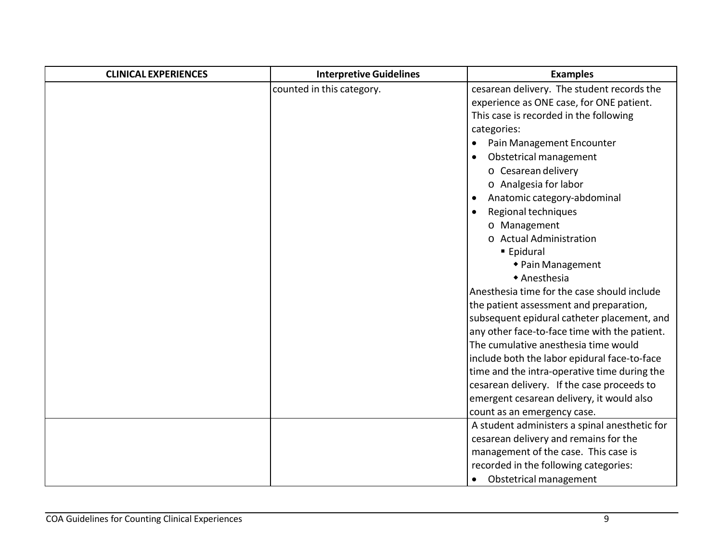| <b>CLINICAL EXPERIENCES</b> | <b>Interpretive Guidelines</b> | <b>Examples</b>                               |
|-----------------------------|--------------------------------|-----------------------------------------------|
|                             | counted in this category.      | cesarean delivery. The student records the    |
|                             |                                | experience as ONE case, for ONE patient.      |
|                             |                                | This case is recorded in the following        |
|                             |                                | categories:                                   |
|                             |                                | Pain Management Encounter<br>$\bullet$        |
|                             |                                | Obstetrical management                        |
|                             |                                | o Cesarean delivery                           |
|                             |                                | o Analgesia for labor                         |
|                             |                                | Anatomic category-abdominal<br>$\bullet$      |
|                             |                                | Regional techniques                           |
|                             |                                | o Management                                  |
|                             |                                | o Actual Administration                       |
|                             |                                | ■ Epidural                                    |
|                             |                                | ◆ Pain Management                             |
|                             |                                | ◆ Anesthesia                                  |
|                             |                                | Anesthesia time for the case should include   |
|                             |                                | the patient assessment and preparation,       |
|                             |                                | subsequent epidural catheter placement, and   |
|                             |                                | any other face-to-face time with the patient. |
|                             |                                | The cumulative anesthesia time would          |
|                             |                                | include both the labor epidural face-to-face  |
|                             |                                | time and the intra-operative time during the  |
|                             |                                | cesarean delivery. If the case proceeds to    |
|                             |                                | emergent cesarean delivery, it would also     |
|                             |                                | count as an emergency case.                   |
|                             |                                | A student administers a spinal anesthetic for |
|                             |                                | cesarean delivery and remains for the         |
|                             |                                | management of the case. This case is          |
|                             |                                | recorded in the following categories:         |
|                             |                                | Obstetrical management<br>$\bullet$           |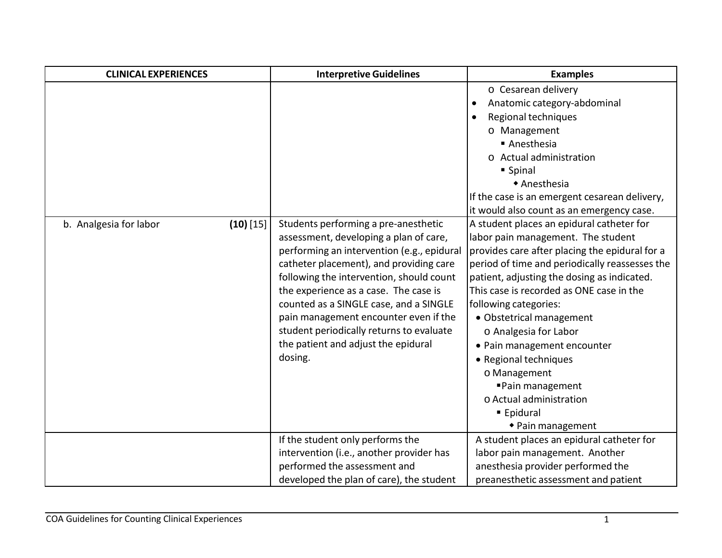| <b>CLINICAL EXPERIENCES</b>           | <b>Interpretive Guidelines</b>                                                                                                                                                                                                                                                                                                                                                                                                                | <b>Examples</b>                                                                                                                                                                                                                                                                                                                                                                                                                                                                                                                                                      |
|---------------------------------------|-----------------------------------------------------------------------------------------------------------------------------------------------------------------------------------------------------------------------------------------------------------------------------------------------------------------------------------------------------------------------------------------------------------------------------------------------|----------------------------------------------------------------------------------------------------------------------------------------------------------------------------------------------------------------------------------------------------------------------------------------------------------------------------------------------------------------------------------------------------------------------------------------------------------------------------------------------------------------------------------------------------------------------|
|                                       |                                                                                                                                                                                                                                                                                                                                                                                                                                               | o Cesarean delivery<br>Anatomic category-abdominal<br>$\bullet$<br>Regional techniques<br>$\bullet$<br>o Management<br>■ Anesthesia<br>o Actual administration<br>■ Spinal<br>◆ Anesthesia<br>If the case is an emergent cesarean delivery,                                                                                                                                                                                                                                                                                                                          |
| $(10)$ [15]<br>b. Analgesia for labor | Students performing a pre-anesthetic<br>assessment, developing a plan of care,<br>performing an intervention (e.g., epidural<br>catheter placement), and providing care<br>following the intervention, should count<br>the experience as a case. The case is<br>counted as a SINGLE case, and a SINGLE<br>pain management encounter even if the<br>student periodically returns to evaluate<br>the patient and adjust the epidural<br>dosing. | it would also count as an emergency case.<br>A student places an epidural catheter for<br>labor pain management. The student<br>provides care after placing the epidural for a<br>period of time and periodically reassesses the<br>patient, adjusting the dosing as indicated.<br>This case is recorded as ONE case in the<br>following categories:<br>· Obstetrical management<br>o Analgesia for Labor<br>• Pain management encounter<br>• Regional techniques<br>o Management<br>■ Pain management<br>o Actual administration<br>■ Epidural<br>◆ Pain management |
|                                       | If the student only performs the<br>intervention (i.e., another provider has<br>performed the assessment and<br>developed the plan of care), the student                                                                                                                                                                                                                                                                                      | A student places an epidural catheter for<br>labor pain management. Another<br>anesthesia provider performed the<br>preanesthetic assessment and patient                                                                                                                                                                                                                                                                                                                                                                                                             |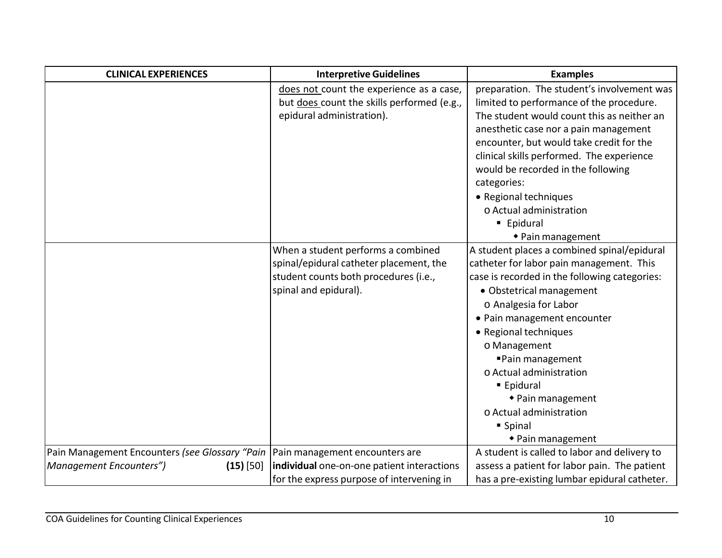| <b>CLINICAL EXPERIENCES</b>                    | <b>Interpretive Guidelines</b>             | <b>Examples</b>                               |
|------------------------------------------------|--------------------------------------------|-----------------------------------------------|
|                                                | does not count the experience as a case,   | preparation. The student's involvement was    |
|                                                | but does count the skills performed (e.g., | limited to performance of the procedure.      |
|                                                | epidural administration).                  | The student would count this as neither an    |
|                                                |                                            | anesthetic case nor a pain management         |
|                                                |                                            | encounter, but would take credit for the      |
|                                                |                                            | clinical skills performed. The experience     |
|                                                |                                            | would be recorded in the following            |
|                                                |                                            | categories:                                   |
|                                                |                                            | • Regional techniques                         |
|                                                |                                            | o Actual administration                       |
|                                                |                                            | ■ Epidural                                    |
|                                                |                                            | ◆ Pain management                             |
|                                                | When a student performs a combined         | A student places a combined spinal/epidural   |
|                                                | spinal/epidural catheter placement, the    | catheter for labor pain management. This      |
|                                                | student counts both procedures (i.e.,      | case is recorded in the following categories: |
|                                                | spinal and epidural).                      | · Obstetrical management                      |
|                                                |                                            | o Analgesia for Labor                         |
|                                                |                                            | • Pain management encounter                   |
|                                                |                                            | • Regional techniques                         |
|                                                |                                            | o Management                                  |
|                                                |                                            | ■ Pain management                             |
|                                                |                                            | o Actual administration                       |
|                                                |                                            | ■ Epidural                                    |
|                                                |                                            | ◆ Pain management                             |
|                                                |                                            | o Actual administration                       |
|                                                |                                            | ■ Spinal                                      |
|                                                |                                            | ◆ Pain management                             |
| Pain Management Encounters (see Glossary "Pain | Pain management encounters are             | A student is called to labor and delivery to  |
| Management Encounters")<br>$(15)$ [50]         | individual one-on-one patient interactions | assess a patient for labor pain. The patient  |
|                                                | for the express purpose of intervening in  | has a pre-existing lumbar epidural catheter.  |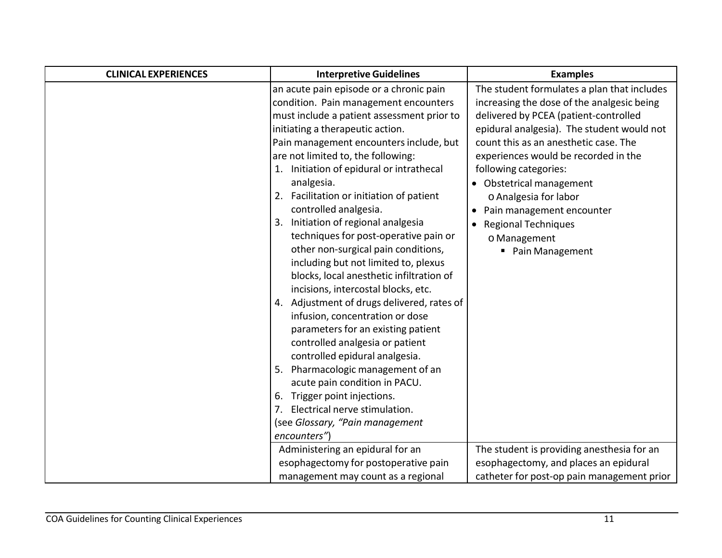| <b>CLINICAL EXPERIENCES</b> | <b>Interpretive Guidelines</b>             | <b>Examples</b>                             |
|-----------------------------|--------------------------------------------|---------------------------------------------|
|                             | an acute pain episode or a chronic pain    | The student formulates a plan that includes |
|                             | condition. Pain management encounters      | increasing the dose of the analgesic being  |
|                             | must include a patient assessment prior to | delivered by PCEA (patient-controlled       |
|                             | initiating a therapeutic action.           | epidural analgesia). The student would not  |
|                             | Pain management encounters include, but    | count this as an anesthetic case. The       |
|                             | are not limited to, the following:         | experiences would be recorded in the        |
|                             | 1. Initiation of epidural or intrathecal   | following categories:                       |
|                             | analgesia.                                 | • Obstetrical management                    |
|                             | 2. Facilitation or initiation of patient   | o Analgesia for labor                       |
|                             | controlled analgesia.                      | Pain management encounter                   |
|                             | 3. Initiation of regional analgesia        | <b>Regional Techniques</b><br>$\bullet$     |
|                             | techniques for post-operative pain or      | o Management                                |
|                             | other non-surgical pain conditions,        | ■ Pain Management                           |
|                             | including but not limited to, plexus       |                                             |
|                             | blocks, local anesthetic infiltration of   |                                             |
|                             | incisions, intercostal blocks, etc.        |                                             |
|                             | 4. Adjustment of drugs delivered, rates of |                                             |
|                             | infusion, concentration or dose            |                                             |
|                             | parameters for an existing patient         |                                             |
|                             | controlled analgesia or patient            |                                             |
|                             | controlled epidural analgesia.             |                                             |
|                             | 5. Pharmacologic management of an          |                                             |
|                             | acute pain condition in PACU.              |                                             |
|                             | 6. Trigger point injections.               |                                             |
|                             | Electrical nerve stimulation.              |                                             |
|                             | (see Glossary, "Pain management            |                                             |
|                             | encounters")                               |                                             |
|                             | Administering an epidural for an           | The student is providing anesthesia for an  |
|                             | esophagectomy for postoperative pain       | esophagectomy, and places an epidural       |
|                             | management may count as a regional         | catheter for post-op pain management prior  |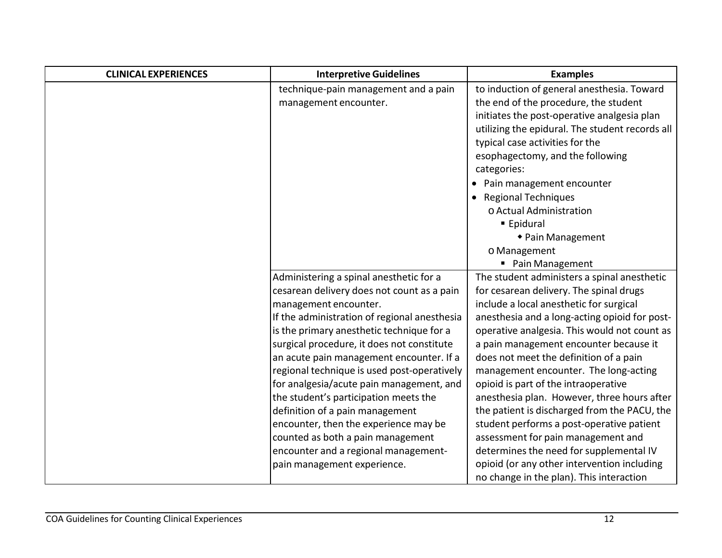| <b>CLINICAL EXPERIENCES</b> | <b>Interpretive Guidelines</b>               | <b>Examples</b>                                 |
|-----------------------------|----------------------------------------------|-------------------------------------------------|
|                             | technique-pain management and a pain         | to induction of general anesthesia. Toward      |
|                             | management encounter.                        | the end of the procedure, the student           |
|                             |                                              | initiates the post-operative analgesia plan     |
|                             |                                              | utilizing the epidural. The student records all |
|                             |                                              | typical case activities for the                 |
|                             |                                              | esophagectomy, and the following                |
|                             |                                              | categories:                                     |
|                             |                                              | Pain management encounter                       |
|                             |                                              | <b>Regional Techniques</b>                      |
|                             |                                              | o Actual Administration                         |
|                             |                                              | ■ Epidural                                      |
|                             |                                              | ◆ Pain Management                               |
|                             |                                              | o Management                                    |
|                             |                                              | ■ Pain Management                               |
|                             | Administering a spinal anesthetic for a      | The student administers a spinal anesthetic     |
|                             | cesarean delivery does not count as a pain   | for cesarean delivery. The spinal drugs         |
|                             | management encounter.                        | include a local anesthetic for surgical         |
|                             | If the administration of regional anesthesia | anesthesia and a long-acting opioid for post-   |
|                             | is the primary anesthetic technique for a    | operative analgesia. This would not count as    |
|                             | surgical procedure, it does not constitute   | a pain management encounter because it          |
|                             | an acute pain management encounter. If a     | does not meet the definition of a pain          |
|                             | regional technique is used post-operatively  | management encounter. The long-acting           |
|                             | for analgesia/acute pain management, and     | opioid is part of the intraoperative            |
|                             | the student's participation meets the        | anesthesia plan. However, three hours after     |
|                             | definition of a pain management              | the patient is discharged from the PACU, the    |
|                             | encounter, then the experience may be        | student performs a post-operative patient       |
|                             | counted as both a pain management            | assessment for pain management and              |
|                             | encounter and a regional management-         | determines the need for supplemental IV         |
|                             | pain management experience.                  | opioid (or any other intervention including     |
|                             |                                              | no change in the plan). This interaction        |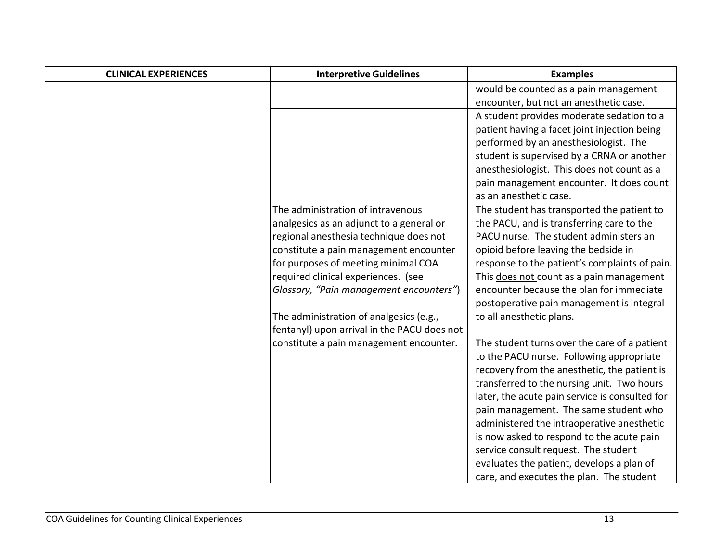| <b>CLINICAL EXPERIENCES</b> | <b>Interpretive Guidelines</b>              | <b>Examples</b>                                |
|-----------------------------|---------------------------------------------|------------------------------------------------|
|                             |                                             | would be counted as a pain management          |
|                             |                                             | encounter, but not an anesthetic case.         |
|                             |                                             | A student provides moderate sedation to a      |
|                             |                                             | patient having a facet joint injection being   |
|                             |                                             | performed by an anesthesiologist. The          |
|                             |                                             | student is supervised by a CRNA or another     |
|                             |                                             | anesthesiologist. This does not count as a     |
|                             |                                             | pain management encounter. It does count       |
|                             |                                             | as an anesthetic case.                         |
|                             | The administration of intravenous           | The student has transported the patient to     |
|                             | analgesics as an adjunct to a general or    | the PACU, and is transferring care to the      |
|                             | regional anesthesia technique does not      | PACU nurse. The student administers an         |
|                             | constitute a pain management encounter      | opioid before leaving the bedside in           |
|                             | for purposes of meeting minimal COA         | response to the patient's complaints of pain.  |
|                             | required clinical experiences. (see         | This does not count as a pain management       |
|                             | Glossary, "Pain management encounters")     | encounter because the plan for immediate       |
|                             |                                             | postoperative pain management is integral      |
|                             | The administration of analgesics (e.g.,     | to all anesthetic plans.                       |
|                             | fentanyl) upon arrival in the PACU does not |                                                |
|                             | constitute a pain management encounter.     | The student turns over the care of a patient   |
|                             |                                             | to the PACU nurse. Following appropriate       |
|                             |                                             | recovery from the anesthetic, the patient is   |
|                             |                                             | transferred to the nursing unit. Two hours     |
|                             |                                             | later, the acute pain service is consulted for |
|                             |                                             | pain management. The same student who          |
|                             |                                             | administered the intraoperative anesthetic     |
|                             |                                             | is now asked to respond to the acute pain      |
|                             |                                             | service consult request. The student           |
|                             |                                             | evaluates the patient, develops a plan of      |
|                             |                                             | care, and executes the plan. The student       |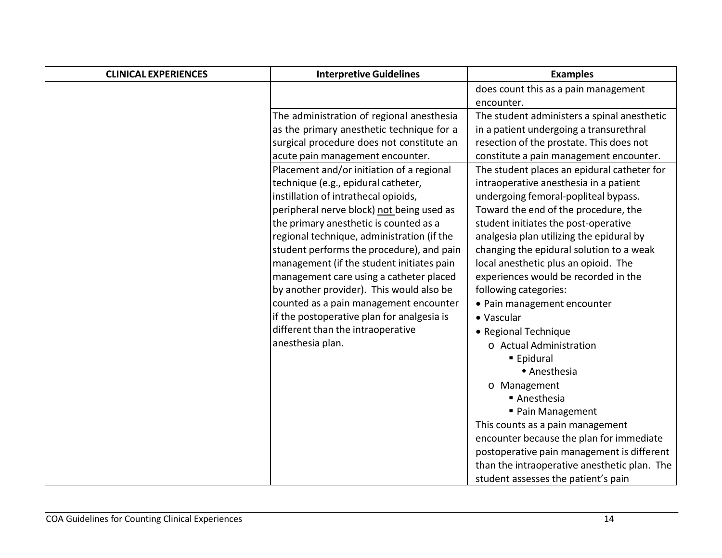| <b>CLINICAL EXPERIENCES</b> | <b>Interpretive Guidelines</b>             | <b>Examples</b>                              |
|-----------------------------|--------------------------------------------|----------------------------------------------|
|                             |                                            | does count this as a pain management         |
|                             |                                            | encounter.                                   |
|                             | The administration of regional anesthesia  | The student administers a spinal anesthetic  |
|                             | as the primary anesthetic technique for a  | in a patient undergoing a transurethral      |
|                             | surgical procedure does not constitute an  | resection of the prostate. This does not     |
|                             | acute pain management encounter.           | constitute a pain management encounter.      |
|                             | Placement and/or initiation of a regional  | The student places an epidural catheter for  |
|                             | technique (e.g., epidural catheter,        | intraoperative anesthesia in a patient       |
|                             | instillation of intrathecal opioids,       | undergoing femoral-popliteal bypass.         |
|                             | peripheral nerve block) not being used as  | Toward the end of the procedure, the         |
|                             | the primary anesthetic is counted as a     | student initiates the post-operative         |
|                             | regional technique, administration (if the | analgesia plan utilizing the epidural by     |
|                             | student performs the procedure), and pain  | changing the epidural solution to a weak     |
|                             | management (if the student initiates pain  | local anesthetic plus an opioid. The         |
|                             | management care using a catheter placed    | experiences would be recorded in the         |
|                             | by another provider). This would also be   | following categories:                        |
|                             | counted as a pain management encounter     | • Pain management encounter                  |
|                             | if the postoperative plan for analgesia is | • Vascular                                   |
|                             | different than the intraoperative          | • Regional Technique                         |
|                             | anesthesia plan.                           | o Actual Administration                      |
|                             |                                            | ■ Epidural                                   |
|                             |                                            | ◆ Anesthesia                                 |
|                             |                                            | o Management                                 |
|                             |                                            | ■ Anesthesia                                 |
|                             |                                            | ■ Pain Management                            |
|                             |                                            | This counts as a pain management             |
|                             |                                            | encounter because the plan for immediate     |
|                             |                                            | postoperative pain management is different   |
|                             |                                            | than the intraoperative anesthetic plan. The |
|                             |                                            | student assesses the patient's pain          |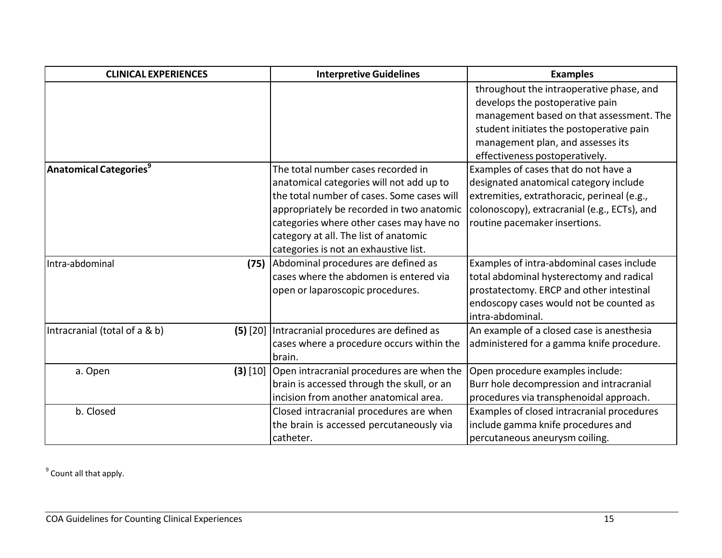| <b>CLINICAL EXPERIENCES</b>               |            | <b>Interpretive Guidelines</b>             | <b>Examples</b>                              |
|-------------------------------------------|------------|--------------------------------------------|----------------------------------------------|
|                                           |            |                                            | throughout the intraoperative phase, and     |
|                                           |            |                                            | develops the postoperative pain              |
|                                           |            |                                            | management based on that assessment. The     |
|                                           |            |                                            | student initiates the postoperative pain     |
|                                           |            |                                            | management plan, and assesses its            |
|                                           |            |                                            | effectiveness postoperatively.               |
| <b>Anatomical Categories</b> <sup>9</sup> |            | The total number cases recorded in         | Examples of cases that do not have a         |
|                                           |            | anatomical categories will not add up to   | designated anatomical category include       |
|                                           |            | the total number of cases. Some cases will | extremities, extrathoracic, perineal (e.g.,  |
|                                           |            | appropriately be recorded in two anatomic  | colonoscopy), extracranial (e.g., ECTs), and |
|                                           |            | categories where other cases may have no   | routine pacemaker insertions.                |
|                                           |            | category at all. The list of anatomic      |                                              |
|                                           |            | categories is not an exhaustive list.      |                                              |
| Intra-abdominal                           | (75)       | Abdominal procedures are defined as        | Examples of intra-abdominal cases include    |
|                                           |            | cases where the abdomen is entered via     | total abdominal hysterectomy and radical     |
|                                           |            | open or laparoscopic procedures.           | prostatectomy. ERCP and other intestinal     |
|                                           |            |                                            | endoscopy cases would not be counted as      |
|                                           |            |                                            | intra-abdominal.                             |
| Intracranial (total of a & b)             | $(5)$ [20] | Intracranial procedures are defined as     | An example of a closed case is anesthesia    |
|                                           |            | cases where a procedure occurs within the  | administered for a gamma knife procedure.    |
|                                           |            | brain.                                     |                                              |
| a. Open                                   | $(3)$ [10] | Open intracranial procedures are when the  | Open procedure examples include:             |
|                                           |            | brain is accessed through the skull, or an | Burr hole decompression and intracranial     |
|                                           |            | incision from another anatomical area.     | procedures via transphenoidal approach.      |
| b. Closed                                 |            | Closed intracranial procedures are when    | Examples of closed intracranial procedures   |
|                                           |            | the brain is accessed percutaneously via   | include gamma knife procedures and           |
|                                           |            | catheter.                                  | percutaneous aneurysm coiling.               |

 $9$  Count all that apply.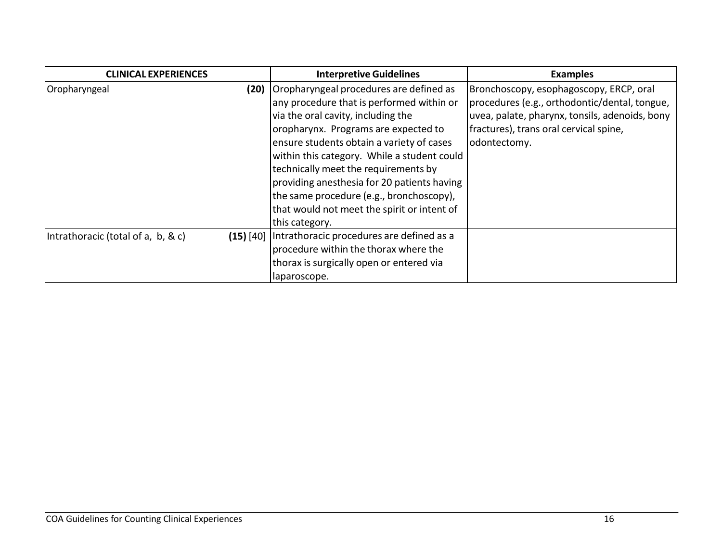| <b>CLINICAL EXPERIENCES</b>        |             | <b>Interpretive Guidelines</b>                                                                                                                                                                                                                                                                                                                                                                                                                                     | <b>Examples</b>                                                                                                                                                                                      |
|------------------------------------|-------------|--------------------------------------------------------------------------------------------------------------------------------------------------------------------------------------------------------------------------------------------------------------------------------------------------------------------------------------------------------------------------------------------------------------------------------------------------------------------|------------------------------------------------------------------------------------------------------------------------------------------------------------------------------------------------------|
| Oropharyngeal                      | (20)        | Oropharyngeal procedures are defined as<br>any procedure that is performed within or<br>via the oral cavity, including the<br>oropharynx. Programs are expected to<br>ensure students obtain a variety of cases<br>within this category. While a student could<br>technically meet the requirements by<br>providing anesthesia for 20 patients having<br>the same procedure (e.g., bronchoscopy),<br>that would not meet the spirit or intent of<br>this category. | Bronchoscopy, esophagoscopy, ERCP, oral<br>procedures (e.g., orthodontic/dental, tongue,<br>uvea, palate, pharynx, tonsils, adenoids, bony<br>fractures), trans oral cervical spine,<br>odontectomy. |
| Intrathoracic (total of a, b, & c) | $(15)$ [40] | Intrathoracic procedures are defined as a<br>procedure within the thorax where the<br>thorax is surgically open or entered via<br>laparoscope.                                                                                                                                                                                                                                                                                                                     |                                                                                                                                                                                                      |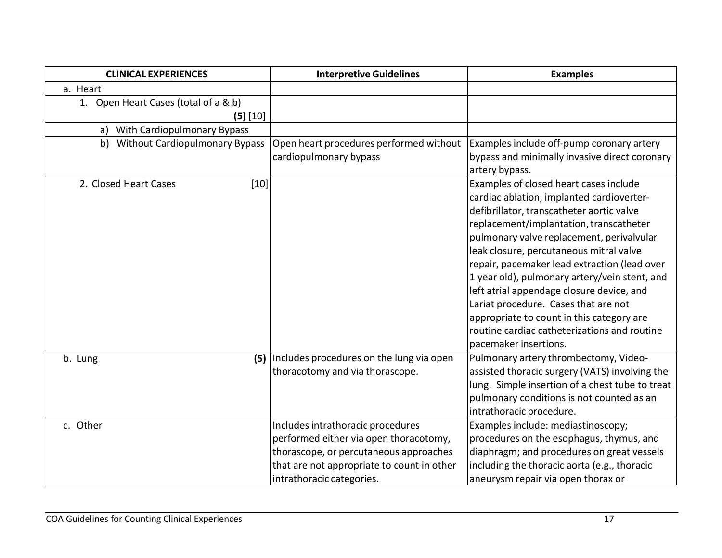| <b>CLINICAL EXPERIENCES</b>          | <b>Interpretive Guidelines</b>             | <b>Examples</b>                                 |
|--------------------------------------|--------------------------------------------|-------------------------------------------------|
| a. Heart                             |                                            |                                                 |
| 1. Open Heart Cases (total of a & b) |                                            |                                                 |
| $(5)$ [10]                           |                                            |                                                 |
| With Cardiopulmonary Bypass<br>a)    |                                            |                                                 |
| b) Without Cardiopulmonary Bypass    | Open heart procedures performed without    | Examples include off-pump coronary artery       |
|                                      | cardiopulmonary bypass                     | bypass and minimally invasive direct coronary   |
|                                      |                                            | artery bypass.                                  |
| $[10]$<br>2. Closed Heart Cases      |                                            | Examples of closed heart cases include          |
|                                      |                                            | cardiac ablation, implanted cardioverter-       |
|                                      |                                            | defibrillator, transcatheter aortic valve       |
|                                      |                                            | replacement/implantation, transcatheter         |
|                                      |                                            | pulmonary valve replacement, perivalvular       |
|                                      |                                            | leak closure, percutaneous mitral valve         |
|                                      |                                            | repair, pacemaker lead extraction (lead over    |
|                                      |                                            | 1 year old), pulmonary artery/vein stent, and   |
|                                      |                                            | left atrial appendage closure device, and       |
|                                      |                                            | Lariat procedure. Cases that are not            |
|                                      |                                            | appropriate to count in this category are       |
|                                      |                                            | routine cardiac catheterizations and routine    |
|                                      |                                            | pacemaker insertions.                           |
| (5)<br>b. Lung                       | Includes procedures on the lung via open   | Pulmonary artery thrombectomy, Video-           |
|                                      | thoracotomy and via thorascope.            | assisted thoracic surgery (VATS) involving the  |
|                                      |                                            | lung. Simple insertion of a chest tube to treat |
|                                      |                                            | pulmonary conditions is not counted as an       |
|                                      |                                            | intrathoracic procedure.                        |
| c. Other                             | Includes intrathoracic procedures          | Examples include: mediastinoscopy;              |
|                                      | performed either via open thoracotomy,     | procedures on the esophagus, thymus, and        |
|                                      | thorascope, or percutaneous approaches     | diaphragm; and procedures on great vessels      |
|                                      | that are not appropriate to count in other | including the thoracic aorta (e.g., thoracic    |
|                                      | intrathoracic categories.                  | aneurysm repair via open thorax or              |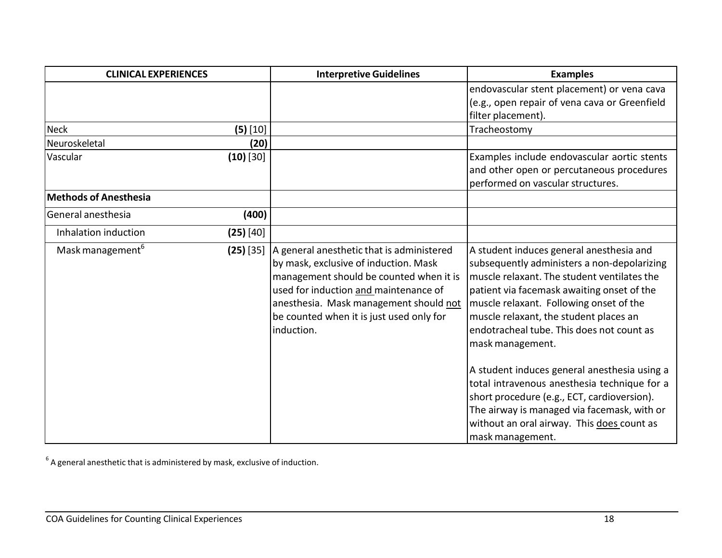| <b>CLINICAL EXPERIENCES</b>  |             | <b>Interpretive Guidelines</b>                                                                                                                                                                                                                                             | <b>Examples</b>                                                                                                                                                                                                                                                                                                                                                                                                                                                                                                                                                                                            |
|------------------------------|-------------|----------------------------------------------------------------------------------------------------------------------------------------------------------------------------------------------------------------------------------------------------------------------------|------------------------------------------------------------------------------------------------------------------------------------------------------------------------------------------------------------------------------------------------------------------------------------------------------------------------------------------------------------------------------------------------------------------------------------------------------------------------------------------------------------------------------------------------------------------------------------------------------------|
|                              |             |                                                                                                                                                                                                                                                                            | endovascular stent placement) or vena cava<br>(e.g., open repair of vena cava or Greenfield<br>filter placement).                                                                                                                                                                                                                                                                                                                                                                                                                                                                                          |
| <b>Neck</b>                  | $(5)$ [10]  |                                                                                                                                                                                                                                                                            | Tracheostomy                                                                                                                                                                                                                                                                                                                                                                                                                                                                                                                                                                                               |
| Neuroskeletal                | (20)        |                                                                                                                                                                                                                                                                            |                                                                                                                                                                                                                                                                                                                                                                                                                                                                                                                                                                                                            |
| Vascular                     | $(10)$ [30] |                                                                                                                                                                                                                                                                            | Examples include endovascular aortic stents<br>and other open or percutaneous procedures<br>performed on vascular structures.                                                                                                                                                                                                                                                                                                                                                                                                                                                                              |
| <b>Methods of Anesthesia</b> |             |                                                                                                                                                                                                                                                                            |                                                                                                                                                                                                                                                                                                                                                                                                                                                                                                                                                                                                            |
| General anesthesia           | (400)       |                                                                                                                                                                                                                                                                            |                                                                                                                                                                                                                                                                                                                                                                                                                                                                                                                                                                                                            |
| Inhalation induction         | $(25)$ [40] |                                                                                                                                                                                                                                                                            |                                                                                                                                                                                                                                                                                                                                                                                                                                                                                                                                                                                                            |
| Mask management <sup>6</sup> | $(25)$ [35] | A general anesthetic that is administered<br>by mask, exclusive of induction. Mask<br>management should be counted when it is<br>used for induction and maintenance of<br>anesthesia. Mask management should not<br>be counted when it is just used only for<br>induction. | A student induces general anesthesia and<br>subsequently administers a non-depolarizing<br>muscle relaxant. The student ventilates the<br>patient via facemask awaiting onset of the<br>muscle relaxant. Following onset of the<br>muscle relaxant, the student places an<br>endotracheal tube. This does not count as<br>mask management.<br>A student induces general anesthesia using a<br>total intravenous anesthesia technique for a<br>short procedure (e.g., ECT, cardioversion).<br>The airway is managed via facemask, with or<br>without an oral airway. This does count as<br>mask management. |

 $^6$  A general anesthetic that is administered by mask, exclusive of induction.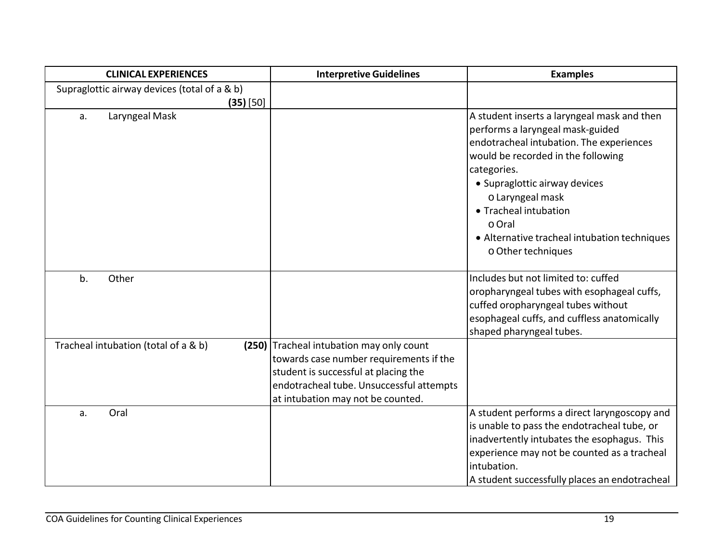| <b>CLINICAL EXPERIENCES</b>                  | <b>Interpretive Guidelines</b>           | <b>Examples</b>                                            |
|----------------------------------------------|------------------------------------------|------------------------------------------------------------|
| Supraglottic airway devices (total of a & b) |                                          |                                                            |
| $(35)$ [50]                                  |                                          |                                                            |
| Laryngeal Mask<br>a.                         |                                          | A student inserts a laryngeal mask and then                |
|                                              |                                          | performs a laryngeal mask-guided                           |
|                                              |                                          | endotracheal intubation. The experiences                   |
|                                              |                                          | would be recorded in the following                         |
|                                              |                                          | categories.                                                |
|                                              |                                          | • Supraglottic airway devices                              |
|                                              |                                          | o Laryngeal mask                                           |
|                                              |                                          | • Tracheal intubation                                      |
|                                              |                                          | o Oral                                                     |
|                                              |                                          | • Alternative tracheal intubation techniques               |
|                                              |                                          | o Other techniques                                         |
|                                              |                                          |                                                            |
| Other<br>b.                                  |                                          | Includes but not limited to: cuffed                        |
|                                              |                                          | oropharyngeal tubes with esophageal cuffs,                 |
|                                              |                                          | cuffed oropharyngeal tubes without                         |
|                                              |                                          | esophageal cuffs, and cuffless anatomically                |
|                                              |                                          | shaped pharyngeal tubes.                                   |
| Tracheal intubation (total of a & b)         | (250) Tracheal intubation may only count |                                                            |
|                                              | towards case number requirements if the  |                                                            |
|                                              | student is successful at placing the     |                                                            |
|                                              | endotracheal tube. Unsuccessful attempts |                                                            |
|                                              | at intubation may not be counted.        |                                                            |
| Oral<br>a.                                   |                                          | A student performs a direct laryngoscopy and               |
|                                              |                                          | is unable to pass the endotracheal tube, or                |
|                                              |                                          | inadvertently intubates the esophagus. This                |
|                                              |                                          | experience may not be counted as a tracheal<br>intubation. |
|                                              |                                          |                                                            |
|                                              |                                          | A student successfully places an endotracheal              |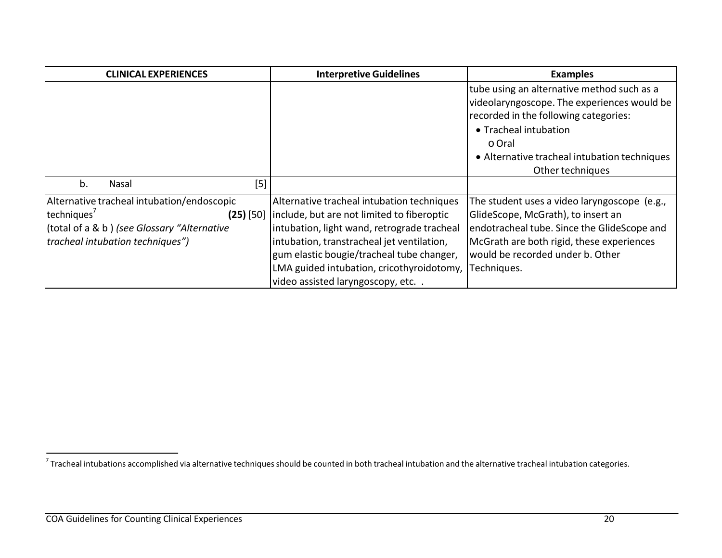| <b>CLINICAL EXPERIENCES</b>                                                                                                                                                    | <b>Interpretive Guidelines</b>                                                                                                                                                                                                                                                                                         | <b>Examples</b>                                                                                                                                                                                                                           |
|--------------------------------------------------------------------------------------------------------------------------------------------------------------------------------|------------------------------------------------------------------------------------------------------------------------------------------------------------------------------------------------------------------------------------------------------------------------------------------------------------------------|-------------------------------------------------------------------------------------------------------------------------------------------------------------------------------------------------------------------------------------------|
|                                                                                                                                                                                |                                                                                                                                                                                                                                                                                                                        | tube using an alternative method such as a<br>videolaryngoscope. The experiences would be<br>recorded in the following categories:<br>• Tracheal intubation<br>o Oral<br>• Alternative tracheal intubation techniques<br>Other techniques |
| $[5]$<br>b.<br>Nasal                                                                                                                                                           |                                                                                                                                                                                                                                                                                                                        |                                                                                                                                                                                                                                           |
| Alternative tracheal intubation/endoscopic<br>techniques <sup>7</sup><br>$(25)$ [50]<br>(total of a & b) (see Glossary "Alternative<br><i>tracheal intubation techniques")</i> | Alternative tracheal intubation techniques<br>include, but are not limited to fiberoptic<br>intubation, light wand, retrograde tracheal<br>intubation, transtracheal jet ventilation,<br>gum elastic bougie/tracheal tube changer,<br>LMA guided intubation, cricothyroidotomy,<br>video assisted laryngoscopy, etc. . | The student uses a video laryngoscope (e.g.,<br>GlideScope, McGrath), to insert an<br>endotracheal tube. Since the GlideScope and<br>McGrath are both rigid, these experiences<br>would be recorded under b. Other<br>Techniques.         |

 $^7$ Tracheal intubations accomplished via alternative techniques should be counted in both tracheal intubation and the alternative tracheal intubation categories.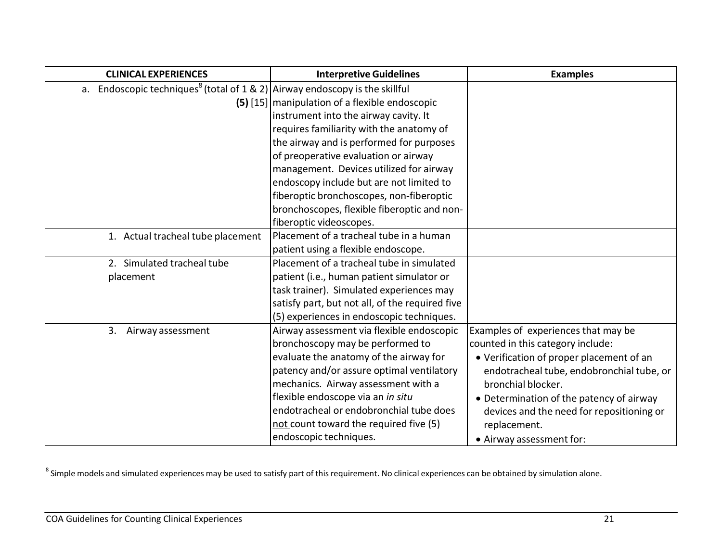| <b>CLINICAL EXPERIENCES</b>                                                                 | <b>Interpretive Guidelines</b>                  | <b>Examples</b>                           |
|---------------------------------------------------------------------------------------------|-------------------------------------------------|-------------------------------------------|
| a. Endoscopic techniques <sup>8</sup> (total of $1 \& 2$ ) Airway endoscopy is the skillful |                                                 |                                           |
|                                                                                             | (5) [15] manipulation of a flexible endoscopic  |                                           |
|                                                                                             | instrument into the airway cavity. It           |                                           |
|                                                                                             | requires familiarity with the anatomy of        |                                           |
|                                                                                             | the airway and is performed for purposes        |                                           |
|                                                                                             | of preoperative evaluation or airway            |                                           |
|                                                                                             | management. Devices utilized for airway         |                                           |
|                                                                                             | endoscopy include but are not limited to        |                                           |
|                                                                                             | fiberoptic bronchoscopes, non-fiberoptic        |                                           |
|                                                                                             | bronchoscopes, flexible fiberoptic and non-     |                                           |
|                                                                                             | fiberoptic videoscopes.                         |                                           |
| 1. Actual tracheal tube placement                                                           | Placement of a tracheal tube in a human         |                                           |
|                                                                                             | patient using a flexible endoscope.             |                                           |
| 2. Simulated tracheal tube                                                                  | Placement of a tracheal tube in simulated       |                                           |
| placement                                                                                   | patient (i.e., human patient simulator or       |                                           |
|                                                                                             | task trainer). Simulated experiences may        |                                           |
|                                                                                             | satisfy part, but not all, of the required five |                                           |
|                                                                                             | (5) experiences in endoscopic techniques.       |                                           |
| 3.<br>Airway assessment                                                                     | Airway assessment via flexible endoscopic       | Examples of experiences that may be       |
|                                                                                             | bronchoscopy may be performed to                | counted in this category include:         |
|                                                                                             | evaluate the anatomy of the airway for          | • Verification of proper placement of an  |
|                                                                                             | patency and/or assure optimal ventilatory       | endotracheal tube, endobronchial tube, or |
|                                                                                             | mechanics. Airway assessment with a             | bronchial blocker.                        |
|                                                                                             | flexible endoscope via an in situ               | • Determination of the patency of airway  |
|                                                                                             | endotracheal or endobronchial tube does         | devices and the need for repositioning or |
|                                                                                             | not count toward the required five (5)          | replacement.                              |
|                                                                                             | endoscopic techniques.                          | • Airway assessment for:                  |

 $^8$  Simple models and simulated experiences may be used to satisfy part of this requirement. No clinical experiences can be obtained by simulation alone.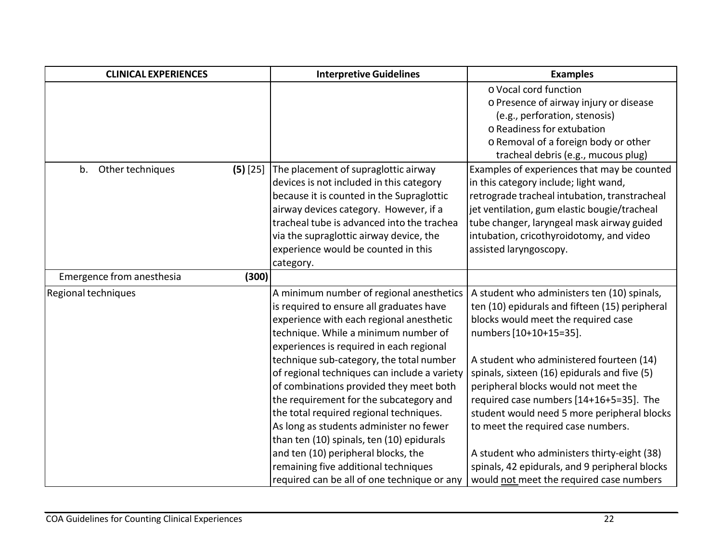| <b>CLINICAL EXPERIENCES</b> |            | <b>Interpretive Guidelines</b>               | <b>Examples</b>                                |
|-----------------------------|------------|----------------------------------------------|------------------------------------------------|
|                             |            |                                              | o Vocal cord function                          |
|                             |            |                                              | o Presence of airway injury or disease         |
|                             |            |                                              | (e.g., perforation, stenosis)                  |
|                             |            |                                              | o Readiness for extubation                     |
|                             |            |                                              | o Removal of a foreign body or other           |
|                             |            |                                              | tracheal debris (e.g., mucous plug)            |
| b.<br>Other techniques      | $(5)$ [25] | The placement of supraglottic airway         | Examples of experiences that may be counted    |
|                             |            | devices is not included in this category     | in this category include; light wand,          |
|                             |            | because it is counted in the Supraglottic    | retrograde tracheal intubation, transtracheal  |
|                             |            | airway devices category. However, if a       | jet ventilation, gum elastic bougie/tracheal   |
|                             |            | tracheal tube is advanced into the trachea   | tube changer, laryngeal mask airway guided     |
|                             |            | via the supraglottic airway device, the      | intubation, cricothyroidotomy, and video       |
|                             |            | experience would be counted in this          | assisted laryngoscopy.                         |
|                             |            | category.                                    |                                                |
| Emergence from anesthesia   | (300)      |                                              |                                                |
| Regional techniques         |            | A minimum number of regional anesthetics     | A student who administers ten (10) spinals,    |
|                             |            | is required to ensure all graduates have     | ten (10) epidurals and fifteen (15) peripheral |
|                             |            | experience with each regional anesthetic     | blocks would meet the required case            |
|                             |            | technique. While a minimum number of         | numbers [10+10+15=35].                         |
|                             |            | experiences is required in each regional     |                                                |
|                             |            | technique sub-category, the total number     | A student who administered fourteen (14)       |
|                             |            | of regional techniques can include a variety | spinals, sixteen (16) epidurals and five (5)   |
|                             |            | of combinations provided they meet both      | peripheral blocks would not meet the           |
|                             |            | the requirement for the subcategory and      | required case numbers [14+16+5=35]. The        |
|                             |            | the total required regional techniques.      | student would need 5 more peripheral blocks    |
|                             |            | As long as students administer no fewer      | to meet the required case numbers.             |
|                             |            | than ten (10) spinals, ten (10) epidurals    |                                                |
|                             |            | and ten (10) peripheral blocks, the          | A student who administers thirty-eight (38)    |
|                             |            | remaining five additional techniques         | spinals, 42 epidurals, and 9 peripheral blocks |
|                             |            | required can be all of one technique or any  | would not meet the required case numbers       |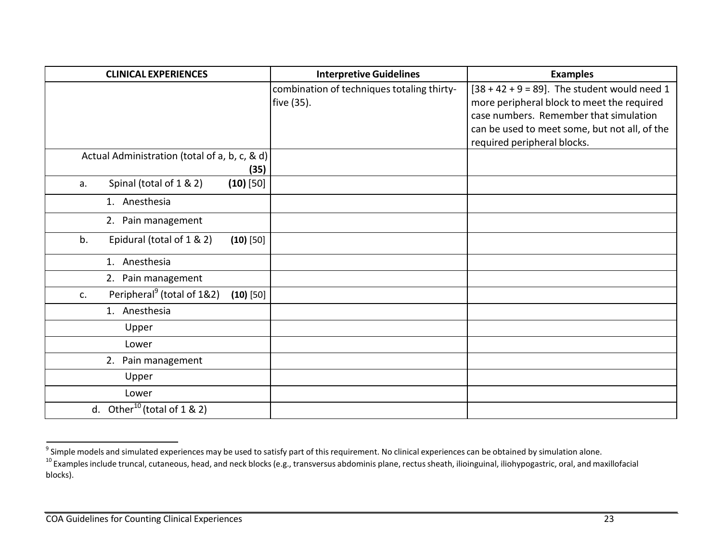| <b>CLINICAL EXPERIENCES</b>                                 | <b>Interpretive Guidelines</b>             | <b>Examples</b>                                 |
|-------------------------------------------------------------|--------------------------------------------|-------------------------------------------------|
|                                                             | combination of techniques totaling thirty- | $[38 + 42 + 9 = 89]$ . The student would need 1 |
|                                                             | five (35).                                 | more peripheral block to meet the required      |
|                                                             |                                            | case numbers. Remember that simulation          |
|                                                             |                                            | can be used to meet some, but not all, of the   |
|                                                             |                                            | required peripheral blocks.                     |
| Actual Administration (total of a, b, c, & d)               |                                            |                                                 |
| (35)                                                        |                                            |                                                 |
| Spinal (total of 1 & 2)<br>$(10)$ [50]<br>a.                |                                            |                                                 |
| 1. Anesthesia                                               |                                            |                                                 |
| 2. Pain management                                          |                                            |                                                 |
| b.<br>Epidural (total of 1 & 2)<br>$(10)$ [50]              |                                            |                                                 |
| 1. Anesthesia                                               |                                            |                                                 |
| 2. Pain management                                          |                                            |                                                 |
| Peripheral <sup>9</sup> (total of 1&2)<br>$(10)$ [50]<br>c. |                                            |                                                 |
| 1. Anesthesia                                               |                                            |                                                 |
| Upper                                                       |                                            |                                                 |
| Lower                                                       |                                            |                                                 |
| 2. Pain management                                          |                                            |                                                 |
| Upper                                                       |                                            |                                                 |
| Lower                                                       |                                            |                                                 |
| d. Other <sup>10</sup> (total of $1 \& 2$ )                 |                                            |                                                 |

 $^9$  Simple models and simulated experiences may be used to satisfy part of this requirement. No clinical experiences can be obtained by simulation alone.

 $^{10}$  Examples include truncal, cutaneous, head, and neck blocks (e.g., transversus abdominis plane, rectus sheath, ilioinguinal, iliohypogastric, oral, and maxillofacial blocks).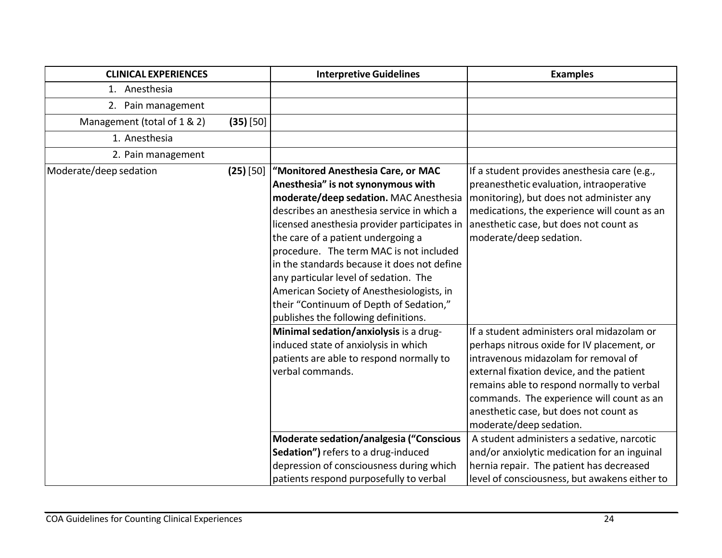| <b>CLINICAL EXPERIENCES</b> |             | <b>Interpretive Guidelines</b>                                                                                                                                                                                                                                                                                                                                                                                                                                                                                            | <b>Examples</b>                                                                                                                                                                                                                                                                                                                                                                                                                                                                                                                          |
|-----------------------------|-------------|---------------------------------------------------------------------------------------------------------------------------------------------------------------------------------------------------------------------------------------------------------------------------------------------------------------------------------------------------------------------------------------------------------------------------------------------------------------------------------------------------------------------------|------------------------------------------------------------------------------------------------------------------------------------------------------------------------------------------------------------------------------------------------------------------------------------------------------------------------------------------------------------------------------------------------------------------------------------------------------------------------------------------------------------------------------------------|
| 1. Anesthesia               |             |                                                                                                                                                                                                                                                                                                                                                                                                                                                                                                                           |                                                                                                                                                                                                                                                                                                                                                                                                                                                                                                                                          |
| 2. Pain management          |             |                                                                                                                                                                                                                                                                                                                                                                                                                                                                                                                           |                                                                                                                                                                                                                                                                                                                                                                                                                                                                                                                                          |
| Management (total of 1 & 2) | $(35)$ [50] |                                                                                                                                                                                                                                                                                                                                                                                                                                                                                                                           |                                                                                                                                                                                                                                                                                                                                                                                                                                                                                                                                          |
| 1. Anesthesia               |             |                                                                                                                                                                                                                                                                                                                                                                                                                                                                                                                           |                                                                                                                                                                                                                                                                                                                                                                                                                                                                                                                                          |
| 2. Pain management          |             |                                                                                                                                                                                                                                                                                                                                                                                                                                                                                                                           |                                                                                                                                                                                                                                                                                                                                                                                                                                                                                                                                          |
| Moderate/deep sedation      | $(25)$ [50] | "Monitored Anesthesia Care, or MAC<br>Anesthesia" is not synonymous with<br>moderate/deep sedation. MAC Anesthesia<br>describes an anesthesia service in which a<br>licensed anesthesia provider participates in<br>the care of a patient undergoing a<br>procedure. The term MAC is not included<br>in the standards because it does not define<br>any particular level of sedation. The<br>American Society of Anesthesiologists, in<br>their "Continuum of Depth of Sedation,"<br>publishes the following definitions. | If a student provides anesthesia care (e.g.,<br>preanesthetic evaluation, intraoperative<br>monitoring), but does not administer any<br>medications, the experience will count as an<br>anesthetic case, but does not count as<br>moderate/deep sedation.                                                                                                                                                                                                                                                                                |
|                             |             | Minimal sedation/anxiolysis is a drug-<br>induced state of anxiolysis in which<br>patients are able to respond normally to<br>verbal commands.<br>Moderate sedation/analgesia ("Conscious<br>Sedation") refers to a drug-induced<br>depression of consciousness during which<br>patients respond purposefully to verbal                                                                                                                                                                                                   | If a student administers oral midazolam or<br>perhaps nitrous oxide for IV placement, or<br>intravenous midazolam for removal of<br>external fixation device, and the patient<br>remains able to respond normally to verbal<br>commands. The experience will count as an<br>anesthetic case, but does not count as<br>moderate/deep sedation.<br>A student administers a sedative, narcotic<br>and/or anxiolytic medication for an inguinal<br>hernia repair. The patient has decreased<br>level of consciousness, but awakens either to |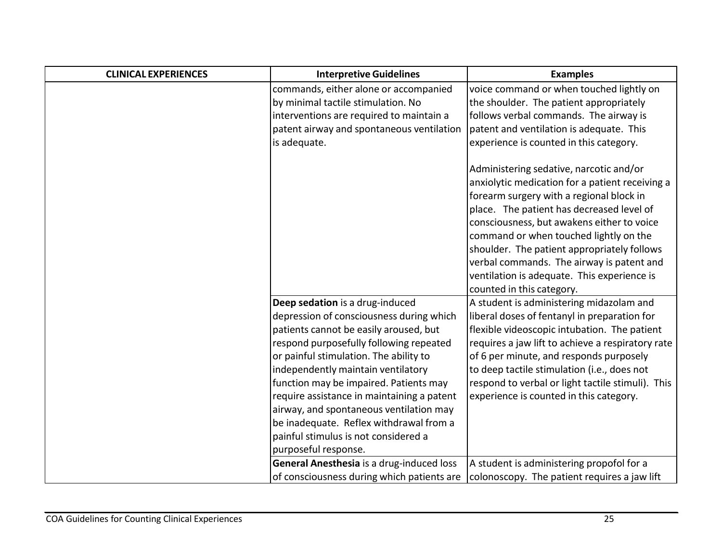| <b>CLINICAL EXPERIENCES</b> | <b>Interpretive Guidelines</b>             | <b>Examples</b>                                   |
|-----------------------------|--------------------------------------------|---------------------------------------------------|
|                             | commands, either alone or accompanied      | voice command or when touched lightly on          |
|                             | by minimal tactile stimulation. No         | the shoulder. The patient appropriately           |
|                             | interventions are required to maintain a   | follows verbal commands. The airway is            |
|                             | patent airway and spontaneous ventilation  | patent and ventilation is adequate. This          |
|                             | is adequate.                               | experience is counted in this category.           |
|                             |                                            |                                                   |
|                             |                                            | Administering sedative, narcotic and/or           |
|                             |                                            | anxiolytic medication for a patient receiving a   |
|                             |                                            | forearm surgery with a regional block in          |
|                             |                                            | place. The patient has decreased level of         |
|                             |                                            | consciousness, but awakens either to voice        |
|                             |                                            | command or when touched lightly on the            |
|                             |                                            | shoulder. The patient appropriately follows       |
|                             |                                            | verbal commands. The airway is patent and         |
|                             |                                            | ventilation is adequate. This experience is       |
|                             |                                            | counted in this category.                         |
|                             | Deep sedation is a drug-induced            | A student is administering midazolam and          |
|                             | depression of consciousness during which   | liberal doses of fentanyl in preparation for      |
|                             | patients cannot be easily aroused, but     | flexible videoscopic intubation. The patient      |
|                             | respond purposefully following repeated    | requires a jaw lift to achieve a respiratory rate |
|                             | or painful stimulation. The ability to     | of 6 per minute, and responds purposely           |
|                             | independently maintain ventilatory         | to deep tactile stimulation (i.e., does not       |
|                             | function may be impaired. Patients may     | respond to verbal or light tactile stimuli). This |
|                             | require assistance in maintaining a patent | experience is counted in this category.           |
|                             | airway, and spontaneous ventilation may    |                                                   |
|                             | be inadequate. Reflex withdrawal from a    |                                                   |
|                             | painful stimulus is not considered a       |                                                   |
|                             | purposeful response.                       |                                                   |
|                             | General Anesthesia is a drug-induced loss  | A student is administering propofol for a         |
|                             | of consciousness during which patients are | colonoscopy. The patient requires a jaw lift      |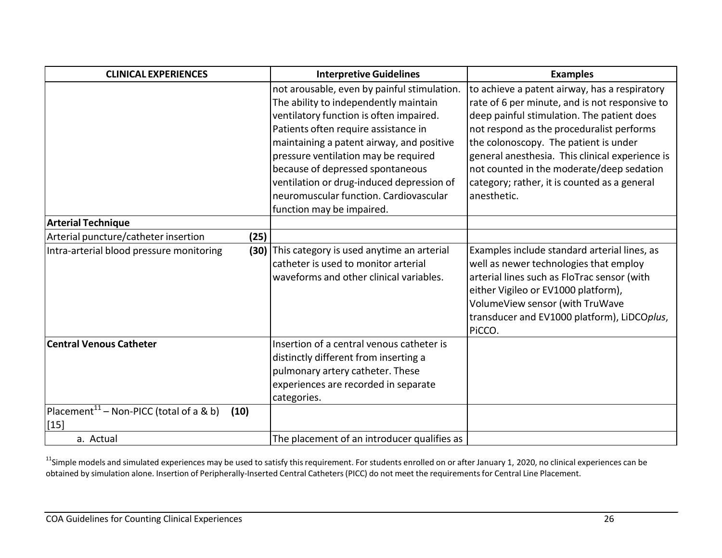| <b>CLINICAL EXPERIENCES</b>                                           | <b>Interpretive Guidelines</b>                                                                                                                                                                                                                                                                                                                                                                                       | <b>Examples</b>                                                                                                                                                                                                                                                                                                                                                                                    |
|-----------------------------------------------------------------------|----------------------------------------------------------------------------------------------------------------------------------------------------------------------------------------------------------------------------------------------------------------------------------------------------------------------------------------------------------------------------------------------------------------------|----------------------------------------------------------------------------------------------------------------------------------------------------------------------------------------------------------------------------------------------------------------------------------------------------------------------------------------------------------------------------------------------------|
|                                                                       | not arousable, even by painful stimulation.<br>The ability to independently maintain<br>ventilatory function is often impaired.<br>Patients often require assistance in<br>maintaining a patent airway, and positive<br>pressure ventilation may be required<br>because of depressed spontaneous<br>ventilation or drug-induced depression of<br>neuromuscular function. Cardiovascular<br>function may be impaired. | to achieve a patent airway, has a respiratory<br>rate of 6 per minute, and is not responsive to<br>deep painful stimulation. The patient does<br>not respond as the proceduralist performs<br>the colonoscopy. The patient is under<br>general anesthesia. This clinical experience is<br>not counted in the moderate/deep sedation<br>category; rather, it is counted as a general<br>anesthetic. |
| <b>Arterial Technique</b>                                             |                                                                                                                                                                                                                                                                                                                                                                                                                      |                                                                                                                                                                                                                                                                                                                                                                                                    |
| Arterial puncture/catheter insertion<br>(25)                          |                                                                                                                                                                                                                                                                                                                                                                                                                      |                                                                                                                                                                                                                                                                                                                                                                                                    |
| Intra-arterial blood pressure monitoring                              | (30) This category is used anytime an arterial<br>catheter is used to monitor arterial<br>waveforms and other clinical variables.                                                                                                                                                                                                                                                                                    | Examples include standard arterial lines, as<br>well as newer technologies that employ<br>arterial lines such as FloTrac sensor (with<br>either Vigileo or EV1000 platform),<br>VolumeView sensor (with TruWave<br>transducer and EV1000 platform), LiDCOplus,<br>PiCCO.                                                                                                                           |
| Central Venous Catheter                                               | Insertion of a central venous catheter is<br>distinctly different from inserting a<br>pulmonary artery catheter. These<br>experiences are recorded in separate<br>categories.                                                                                                                                                                                                                                        |                                                                                                                                                                                                                                                                                                                                                                                                    |
| Placement <sup>11</sup> – Non-PICC (total of a & b)<br>(10)<br>$[15]$ |                                                                                                                                                                                                                                                                                                                                                                                                                      |                                                                                                                                                                                                                                                                                                                                                                                                    |
| a. Actual                                                             | The placement of an introducer qualifies as                                                                                                                                                                                                                                                                                                                                                                          |                                                                                                                                                                                                                                                                                                                                                                                                    |

 $^{11}$ Simple models and simulated experiences may be used to satisfy this requirement. For students enrolled on or after January 1, 2020, no clinical experiences can be obtained by simulation alone. Insertion of Peripherally-Inserted Central Catheters(PICC) do not meet the requirementsfor Central Line Placement.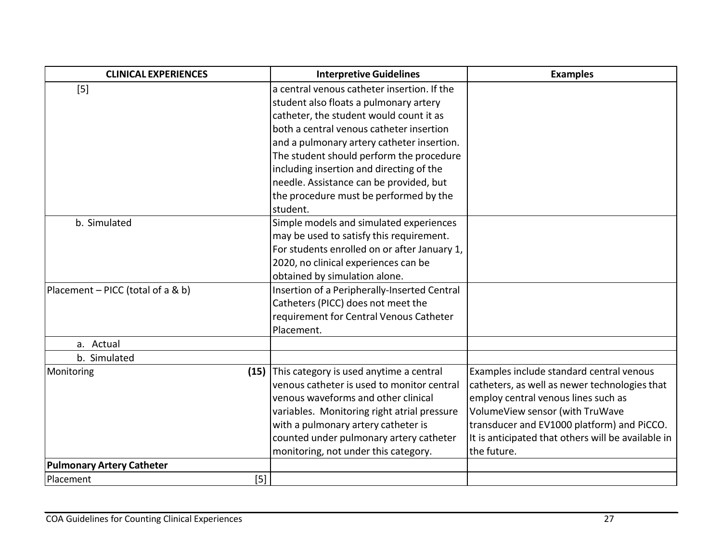| <b>CLINICAL EXPERIENCES</b>       | <b>Interpretive Guidelines</b>               | <b>Examples</b>                                    |
|-----------------------------------|----------------------------------------------|----------------------------------------------------|
| $[5]$                             | a central venous catheter insertion. If the  |                                                    |
|                                   | student also floats a pulmonary artery       |                                                    |
|                                   | catheter, the student would count it as      |                                                    |
|                                   | both a central venous catheter insertion     |                                                    |
|                                   | and a pulmonary artery catheter insertion.   |                                                    |
|                                   | The student should perform the procedure     |                                                    |
|                                   | including insertion and directing of the     |                                                    |
|                                   | needle. Assistance can be provided, but      |                                                    |
|                                   | the procedure must be performed by the       |                                                    |
|                                   | student.                                     |                                                    |
| b. Simulated                      | Simple models and simulated experiences      |                                                    |
|                                   | may be used to satisfy this requirement.     |                                                    |
|                                   | For students enrolled on or after January 1, |                                                    |
|                                   | 2020, no clinical experiences can be         |                                                    |
|                                   | obtained by simulation alone.                |                                                    |
| Placement - PICC (total of a & b) | Insertion of a Peripherally-Inserted Central |                                                    |
|                                   | Catheters (PICC) does not meet the           |                                                    |
|                                   | requirement for Central Venous Catheter      |                                                    |
|                                   | Placement.                                   |                                                    |
| a. Actual                         |                                              |                                                    |
| b. Simulated                      |                                              |                                                    |
| Monitoring<br>(15)                | This category is used anytime a central      | Examples include standard central venous           |
|                                   | venous catheter is used to monitor central   | catheters, as well as newer technologies that      |
|                                   | venous waveforms and other clinical          | employ central venous lines such as                |
|                                   | variables. Monitoring right atrial pressure  | VolumeView sensor (with TruWave                    |
|                                   | with a pulmonary artery catheter is          | transducer and EV1000 platform) and PiCCO.         |
|                                   | counted under pulmonary artery catheter      | It is anticipated that others will be available in |
|                                   | monitoring, not under this category.         | the future.                                        |
| <b>Pulmonary Artery Catheter</b>  |                                              |                                                    |
| $\vert 5 \vert$<br>Placement      |                                              |                                                    |